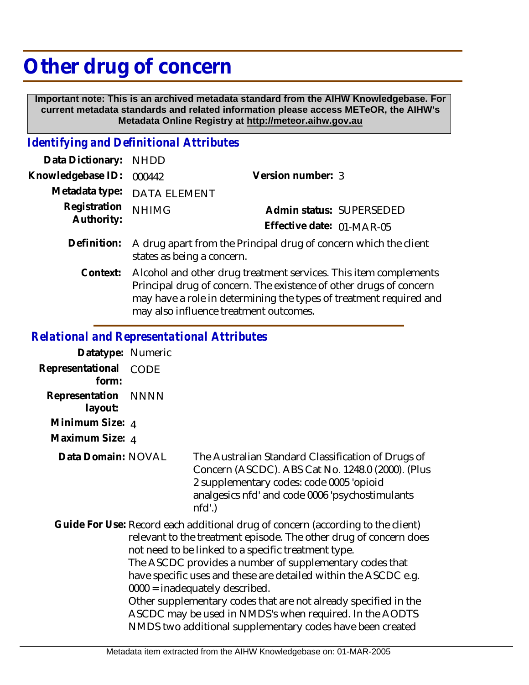## **Other drug of concern**

 **Important note: This is an archived metadata standard from the AIHW Knowledgebase. For current metadata standards and related information please access METeOR, the AIHW's Metadata Online Registry at http://meteor.aihw.gov.au**

## *Identifying and Definitional Attributes*

| Data Dictionary: NHDD      |                                                                                                                                        |                           |  |
|----------------------------|----------------------------------------------------------------------------------------------------------------------------------------|---------------------------|--|
| Knowledgebase ID:          | 000442                                                                                                                                 | Version number: 3         |  |
|                            | Metadata type: DATA ELEMENT                                                                                                            |                           |  |
| Registration<br>Authority: | <b>NHIMG</b>                                                                                                                           | Admin status: SUPERSEDED  |  |
|                            |                                                                                                                                        | Effective date: 01-MAR-05 |  |
|                            | Definition: A drug apart from the Principal drug of concern which the client<br>states as being a concern.                             |                           |  |
| Context:                   | Alcohol and other drug treatment services. This item complements<br>Principal drug of concern. The existence of other drugs of concern |                           |  |

may also influence treatment outcomes.

may have a role in determining the types of treatment required and

## *Relational and Representational Attributes*

| Datatype: Numeric         |             |
|---------------------------|-------------|
| Representational<br>form: | CODE        |
| Representation<br>layout: | <b>NNNN</b> |
| Minimum Size: 4           |             |
| Maximum Size: 4           |             |

The Australian Standard Classification of Drugs of Concern (ASCDC). ABS Cat No. 1248.0 (2000). (Plus 2 supplementary codes: code 0005 'opioid analgesics nfd' and code 0006 'psychostimulants nfd'.) **Data Domain:**

Guide For Use: Record each additional drug of concern (according to the client) relevant to the treatment episode. The other drug of concern does not need to be linked to a specific treatment type. The ASCDC provides a number of supplementary codes that have specific uses and these are detailed within the ASCDC e.g. 0000 = inadequately described. Other supplementary codes that are not already specified in the ASCDC may be used in NMDS's when required. In the AODTS NMDS two additional supplementary codes have been created